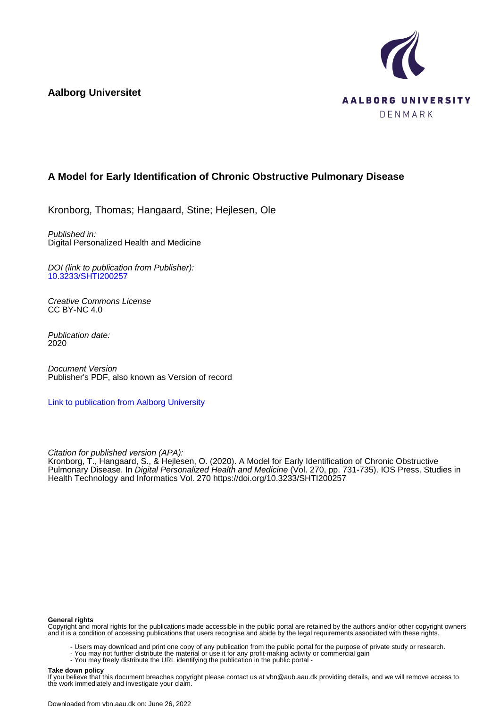**Aalborg Universitet**



# **A Model for Early Identification of Chronic Obstructive Pulmonary Disease**

Kronborg, Thomas; Hangaard, Stine; Hejlesen, Ole

Published in: Digital Personalized Health and Medicine

DOI (link to publication from Publisher): [10.3233/SHTI200257](https://doi.org/10.3233/SHTI200257)

Creative Commons License CC BY-NC 4.0

Publication date: 2020

Document Version Publisher's PDF, also known as Version of record

[Link to publication from Aalborg University](https://vbn.aau.dk/en/publications/e78658b7-0d2c-4c57-8c37-4ea236ca4e7b)

Citation for published version (APA):

Kronborg, T., Hangaard, S., & Hejlesen, O. (2020). A Model for Early Identification of Chronic Obstructive Pulmonary Disease. In *Digital Personalized Health and Medicine* (Vol. 270, pp. 731-735). IOS Press. Studies in Health Technology and Informatics Vol. 270 <https://doi.org/10.3233/SHTI200257>

#### **General rights**

Copyright and moral rights for the publications made accessible in the public portal are retained by the authors and/or other copyright owners and it is a condition of accessing publications that users recognise and abide by the legal requirements associated with these rights.

- Users may download and print one copy of any publication from the public portal for the purpose of private study or research.
- You may not further distribute the material or use it for any profit-making activity or commercial gain
	- You may freely distribute the URL identifying the publication in the public portal -

#### **Take down policy**

If you believe that this document breaches copyright please contact us at vbn@aub.aau.dk providing details, and we will remove access to the work immediately and investigate your claim.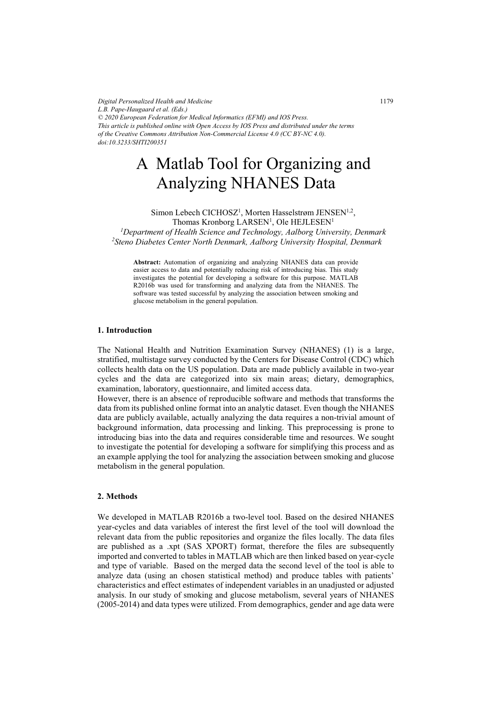*Digital Personalized Health and Medicine L.B. Pape-Haugaard et al. (Eds.) © 2020 European Federation for Medical Informatics (EFMI) and IOS Press. This article is published online with Open Access by IOS Press and distributed under the terms of the Creative Commons Attribution Non-Commercial License 4.0 (CC BY-NC 4.0). doi:10.3233/SHTI200351*

# A Matlab Tool for Organizing and Analyzing NHANES Data

Simon Lebech CICHOSZ<sup>1</sup>, Morten Hasselstrøm JENSEN<sup>1,2</sup>, Thomas Kronborg  $\mathrm{LARSEN}^1,$  Ole <code>HEJLESEN $^1$ </code> <sup>1</sup> Department of Health Science and Technology, Aalborg University, Denmark<br><sup>2</sup>Steno Digbetes Center North Denmark Aalborg University Hospital, Denmark *Steno Diabetes Center North Denmark, Aalborg University Hospital, Denmark*

**Abstract:** Automation of organizing and analyzing NHANES data can provide easier access to data and potentially reducing risk of introducing bias. This study investigates the potential for developing a software for this purpose. MATLAB R2016b was used for transforming and analyzing data from the NHANES. The software was tested successful by analyzing the association between smoking and glucose metabolism in the general population.

#### **1. Introduction**

The National Health and Nutrition Examination Survey (NHANES) (1) is a large, stratified, multistage survey conducted by the Centers for Disease Control (CDC) which collects health data on the US population. Data are made publicly available in two-year cycles and the data are categorized into six main areas; dietary, demographics, examination, laboratory, questionnaire, and limited access data.

However, there is an absence of reproducible software and methods that transforms the data from its published online format into an analytic dataset. Even though the NHANES data are publicly available, actually analyzing the data requires a non-trivial amount of background information, data processing and linking. This preprocessing is prone to introducing bias into the data and requires considerable time and resources. We sought to investigate the potential for developing a software for simplifying this process and as an example applying the tool for analyzing the association between smoking and glucose metabolism in the general population.

#### **2. Methods**

We developed in MATLAB R2016b a two-level tool. Based on the desired NHANES year-cycles and data variables of interest the first level of the tool will download the relevant data from the public repositories and organize the files locally. The data files are published as a .xpt (SAS XPORT) format, therefore the files are subsequently imported and converted to tables in MATLAB which are then linked based on year-cycle and type of variable. Based on the merged data the second level of the tool is able to analyze data (using an chosen statistical method) and produce tables with patients' characteristics and effect estimates of independent variables in an unadjusted or adjusted analysis. In our study of smoking and glucose metabolism, several years of NHANES (2005-2014) and data types were utilized. From demographics, gender and age data were